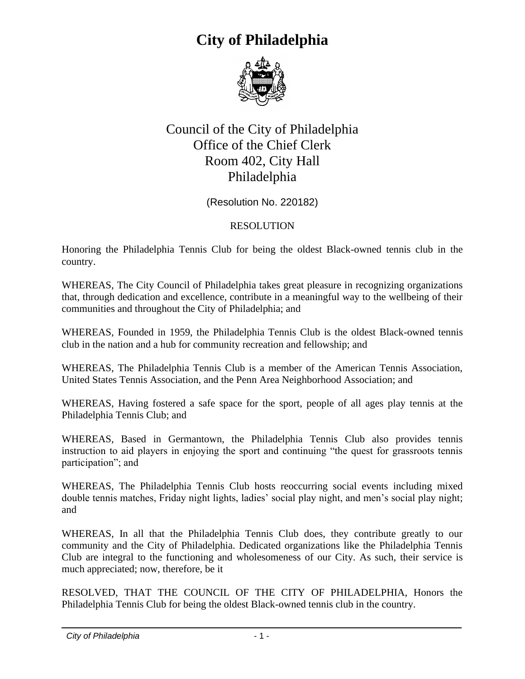

#### Council of the City of Philadelphia Office of the Chief Clerk Room 402, City Hall Philadelphia

(Resolution No. 220182)

#### RESOLUTION

Honoring the Philadelphia Tennis Club for being the oldest Black-owned tennis club in the country.

WHEREAS, The City Council of Philadelphia takes great pleasure in recognizing organizations that, through dedication and excellence, contribute in a meaningful way to the wellbeing of their communities and throughout the City of Philadelphia; and

WHEREAS, Founded in 1959, the Philadelphia Tennis Club is the oldest Black-owned tennis club in the nation and a hub for community recreation and fellowship; and

WHEREAS, The Philadelphia Tennis Club is a member of the American Tennis Association, United States Tennis Association, and the Penn Area Neighborhood Association; and

WHEREAS, Having fostered a safe space for the sport, people of all ages play tennis at the Philadelphia Tennis Club; and

WHEREAS, Based in Germantown, the Philadelphia Tennis Club also provides tennis instruction to aid players in enjoying the sport and continuing "the quest for grassroots tennis participation"; and

WHEREAS, The Philadelphia Tennis Club hosts reoccurring social events including mixed double tennis matches, Friday night lights, ladies' social play night, and men's social play night; and

WHEREAS, In all that the Philadelphia Tennis Club does, they contribute greatly to our community and the City of Philadelphia. Dedicated organizations like the Philadelphia Tennis Club are integral to the functioning and wholesomeness of our City. As such, their service is much appreciated; now, therefore, be it

RESOLVED, THAT THE COUNCIL OF THE CITY OF PHILADELPHIA, Honors the Philadelphia Tennis Club for being the oldest Black-owned tennis club in the country.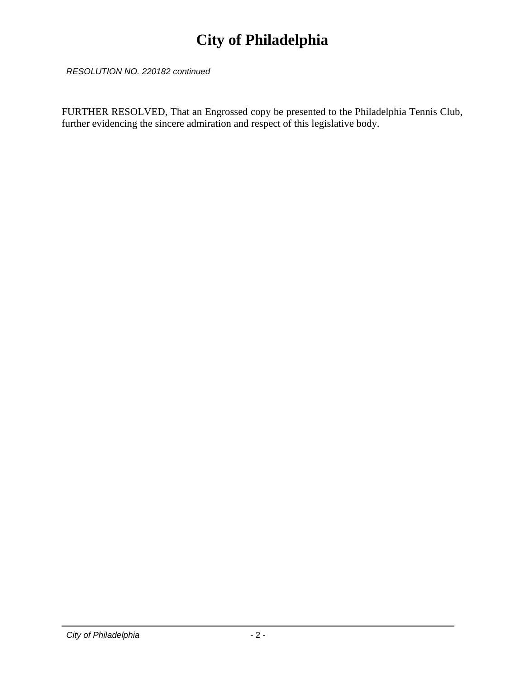*RESOLUTION NO. 220182 continued*

FURTHER RESOLVED, That an Engrossed copy be presented to the Philadelphia Tennis Club, further evidencing the sincere admiration and respect of this legislative body.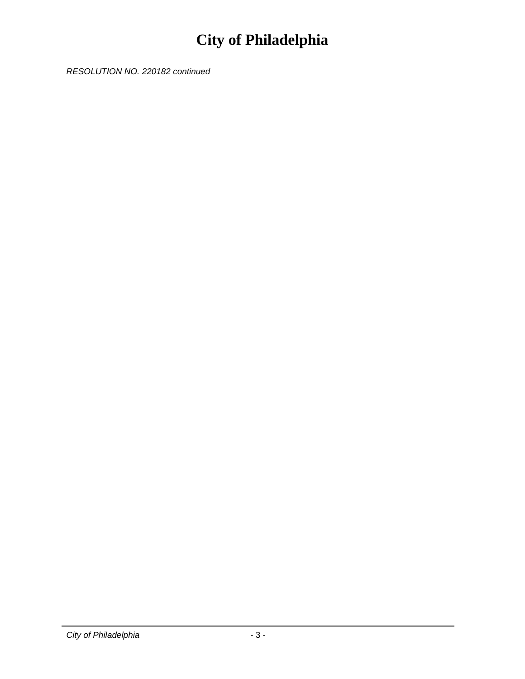*RESOLUTION NO. 220182 continued*